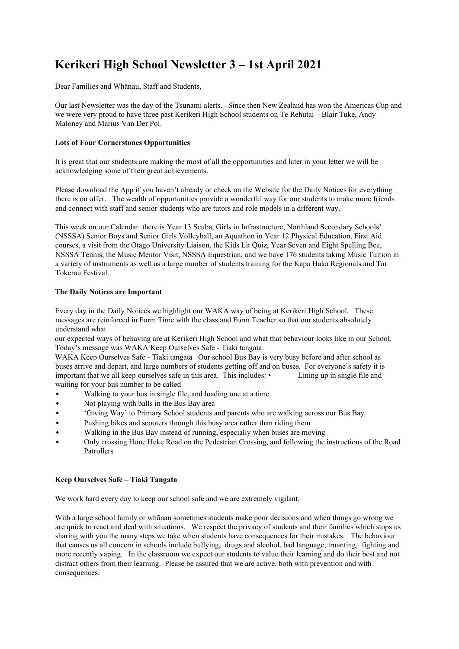# **Kerikeri High School Newsletter 3 – 1st April 2021**

Dear Families and Whānau, Staff and Students,

Our last Newsletter was the day of the Tsunami alerts. Since then New Zealand has won the Americas Cup and we were very proud to have three past Kerikeri High School students on Te Rehutai – Blair Tuke, Andy Maloney and Marius Van Der Pol.

# **Lots of Four Cornerstones Opportunities**

It is great that our students are making the most of all the opportunities and later in your letter we will be acknowledging some of their great achievements.

Please download the App if you haven't already or check on the Website for the Daily Notices for everything there is on offer. The wealth of opportunities provide a wonderful way for our students to make more friends and connect with staff and senior students who are tutors and role models in a different way.

This week on our Calendar there is Year 13 Scuba, Girls in Infrastructure, Northland Secondary Schools' (NSSSA) Senior Boys and Senior Girls Volleyball, an Aquathon in Year 12 Physical Education, First Aid courses, a visit from the Otago University Liaison, the Kids Lit Quiz, Year Seven and Eight Spelling Bee, NSSSA Tennis, the Music Mentor Visit, NSSSA Equestrian, and we have 176 students taking Music Tuition in a variety of instruments as well as a large number of students training for the Kapa Haka Regionals and Tai Tokerau Festival.

## **The Daily Notices are Important**

Every day in the Daily Notices we highlight our WAKA way of being at Kerikeri High School. These messages are reinforced in Form Time with the class and Form Teacher so that our students absolutely understand what

our expected ways of behaving are at Kerikeri High School and what that behaviour looks like in our School. Today's message was WAKA Keep Ourselves Safe - Tiaki tangata:

WAKA Keep Ourselves Safe - Tiaki tangata Our school Bus Bay is very busy before and after school as buses arrive and depart, and large numbers of students getting off and on buses. For everyone's safety it is important that we all keep ourselves safe in this area. This includes: • Lining up in single file and waiting for your bus number to be called

- Walking to your bus in single file, and loading one at a time
- Not playing with balls in the Bus Bay area
- 'Giving Way' to Primary School students and parents who are walking across our Bus Bay
- Pushing bikes and scooters through this busy area rather than riding them
- Walking in the Bus Bay instead of running, especially when buses are moving
- Only crossing Hone Heke Road on the Pedestrian Crossing, and following the instructions of the Road Patrollers

# **Keep Ourselves Safe – Tiaki Tangata**

We work hard every day to keep our school safe and we are extremely vigilant.

With a large school family or whānau sometimes students make poor decisions and when things go wrong we are quick to react and deal with situations. We respect the privacy of students and their families which stops us sharing with you the many steps we take when students have consequences for their mistakes. The behaviour that causes us all concern in schools include bullying, drugs and alcohol, bad language, truanting, fighting and more recently vaping. In the classroom we expect our students to value their learning and do their best and not distract others from their learning. Please be assured that we are active, both with prevention and with consequences.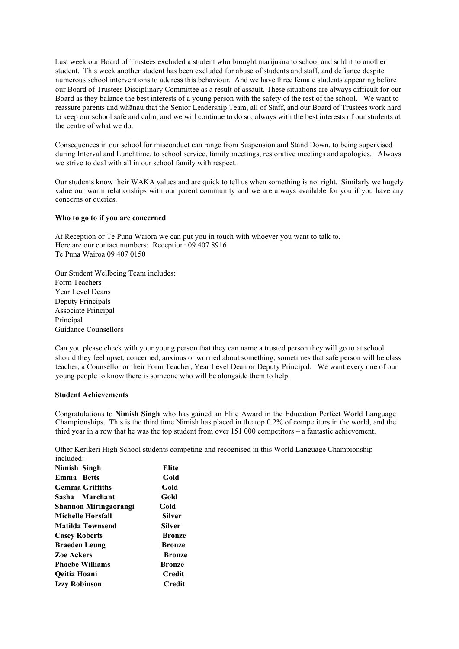Last week our Board of Trustees excluded a student who brought marijuana to school and sold it to another student. This week another student has been excluded for abuse of students and staff, and defiance despite numerous school interventions to address this behaviour. And we have three female students appearing before our Board of Trustees Disciplinary Committee as a result of assault. These situations are always difficult for our Board as they balance the best interests of a young person with the safety of the rest of the school. We want to reassure parents and whānau that the Senior Leadership Team, all of Staff, and our Board of Trustees work hard to keep our school safe and calm, and we will continue to do so, always with the best interests of our students at the centre of what we do.

Consequences in our school for misconduct can range from Suspension and Stand Down, to being supervised during Interval and Lunchtime, to school service, family meetings, restorative meetings and apologies. Always we strive to deal with all in our school family with respect.

Our students know their WAKA values and are quick to tell us when something is not right. Similarly we hugely value our warm relationships with our parent community and we are always available for you if you have any concerns or queries.

#### **Who to go to if you are concerned**

At Reception or Te Puna Waiora we can put you in touch with whoever you want to talk to. Here are our contact numbers: Reception: 09 407 8916 Te Puna Wairoa 09 407 0150

Our Student Wellbeing Team includes: Form Teachers Year Level Deans Deputy Principals Associate Principal Principal Guidance Counsellors

Can you please check with your young person that they can name a trusted person they will go to at school should they feel upset, concerned, anxious or worried about something; sometimes that safe person will be class teacher, a Counsellor or their Form Teacher, Year Level Dean or Deputy Principal. We want every one of our young people to know there is someone who will be alongside them to help.

### **Student Achievements**

Congratulations to **Nimish Singh** who has gained an Elite Award in the Education Perfect World Language Championships. This is the third time Nimish has placed in the top 0.2% of competitors in the world, and the third year in a row that he was the top student from over 151 000 competitors – a fantastic achievement.

Other Kerikeri High School students competing and recognised in this World Language Championship included:

| Elite         |
|---------------|
| Gold          |
| Gold          |
| Gold          |
| Gold          |
| Silver        |
| Silver        |
| <b>Bronze</b> |
| <b>Bronze</b> |
| <b>Bronze</b> |
| <b>Bronze</b> |
| Credit        |
| Credit        |
|               |